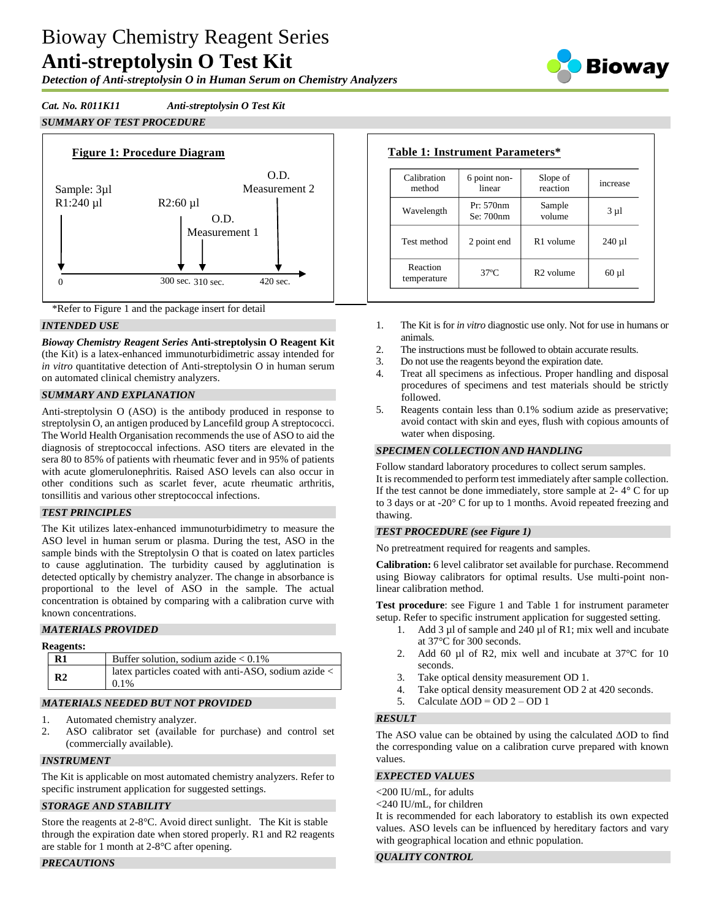# Bioway Chemistry Reagent Series **Anti-streptolysin O Test Kit**

*Detection of Anti-streptolysin O in Human Serum on Chemistry Analyzers*

*Cat. No. R011K11 Anti-streptolysin O Test Kit*

# *SUMMARY OF TEST PROCEDURE*





## *INTENDED USE*

*Bioway Chemistry Reagent Series* **Anti-streptolysin O Reagent Kit**  (the Kit) is a latex-enhanced immunoturbidimetric assay intended for *in vitro* quantitative detection of Anti-streptolysin O in human serum on automated clinical chemistry analyzers.

## *SUMMARY AND EXPLANATION*

Anti-streptolysin O (ASO) is the antibody produced in response to streptolysin O, an antigen produced by Lancefild group A streptococci. The World Health Organisation recommends the use of ASO to aid the diagnosis of streptococcal infections. ASO titers are elevated in the sera 80 to 85% of patients with rheumatic fever and in 95% of patients with acute glomerulonephritis. Raised ASO levels can also occur in other conditions such as scarlet fever, acute rheumatic arthritis, tonsillitis and various other streptococcal infections.

## *TEST PRINCIPLES*

The Kit utilizes latex-enhanced immunoturbidimetry to measure the ASO level in human serum or plasma. During the test, ASO in the sample binds with the Streptolysin O that is coated on latex particles to cause agglutination. The turbidity caused by agglutination is detected optically by chemistry analyzer. The change in absorbance is proportional to the level of ASO in the sample. The actual concentration is obtained by comparing with a calibration curve with known concentrations.

## *MATERIALS PROVIDED*

## **Reagents:**

| $\mathbf{R}1$  | Buffer solution, sodium azide $< 0.1\%$                         |
|----------------|-----------------------------------------------------------------|
| R <sub>2</sub> | latex particles coated with anti-ASO, sodium azide <<br>$0.1\%$ |

## *MATERIALS NEEDED BUT NOT PROVIDED*

- 1. Automated chemistry analyzer.
- 2. ASO calibrator set (available for purchase) and control set (commercially available).

## *INSTRUMENT*

The Kit is applicable on most automated chemistry analyzers. Refer to specific instrument application for suggested settings.

## *STORAGE AND STABILITY*

Store the reagents at 2-8°C. Avoid direct sunlight. The Kit is stable through the expiration date when stored properly. R1 and R2 reagents are stable for 1 month at 2-8°C after opening.

## *PRECAUTIONS*

| Calibration<br>method   | 6 point non-<br>linear | Slope of<br>reaction  | increase   |
|-------------------------|------------------------|-----------------------|------------|
| Wavelength              | Pr: 570nm<br>Se: 700nm | Sample<br>volume      | $3 \mu l$  |
| Test method             | 2 point end            | R <sub>1</sub> volume | $240 \mu$  |
| Reaction<br>temperature | $37^\circ$ C           | R <sub>2</sub> volume | $60 \mu l$ |

- 1. The Kit is for *in vitro* diagnostic use only. Not for use in humans or animals.
- 2. The instructions must be followed to obtain accurate results.
- 3. Do not use the reagents beyond the expiration date.
- 4. Treat all specimens as infectious. Proper handling and disposal procedures of specimens and test materials should be strictly followed.
- 5. Reagents contain less than 0.1% sodium azide as preservative; avoid contact with skin and eyes, flush with copious amounts of water when disposing.

## *SPECIMEN COLLECTION AND HANDLING*

Follow standard laboratory procedures to collect serum samples. It is recommended to perform test immediately after sample collection. If the test cannot be done immediately, store sample at  $2 - 4^\circ$  C for up to 3 days or at -20° C for up to 1 months. Avoid repeated freezing and thawing.

## *TEST PROCEDURE (see Figure 1)*

No pretreatment required for reagents and samples.

**Calibration:** 6 level calibrator set available for purchase. Recommend using Bioway calibrators for optimal results. Use multi-point nonlinear calibration method.

**Test procedure**: see Figure 1 and Table 1 for instrument parameter setup. Refer to specific instrument application for suggested setting.

- 1. Add 3 µl of sample and 240 µl of R1; mix well and incubate at 37°C for 300 seconds.
- 2. Add 60 µl of R2, mix well and incubate at 37°C for 10 seconds.
- 3. Take optical density measurement OD 1.
- 4. Take optical density measurement OD 2 at 420 seconds.
- 5. Calculate  $\triangle$ OD = OD 2 OD 1

## *RESULT*

The ASO value can be obtained by using the calculated ΔOD to find the corresponding value on a calibration curve prepared with known values.

#### *EXPECTED VALUES*

- <200 IU/mL, for adults
- <240 IU/mL, for children

It is recommended for each laboratory to establish its own expected values. ASO levels can be influenced by hereditary factors and vary with geographical location and ethnic population.

## *QUALITY CONTROL*